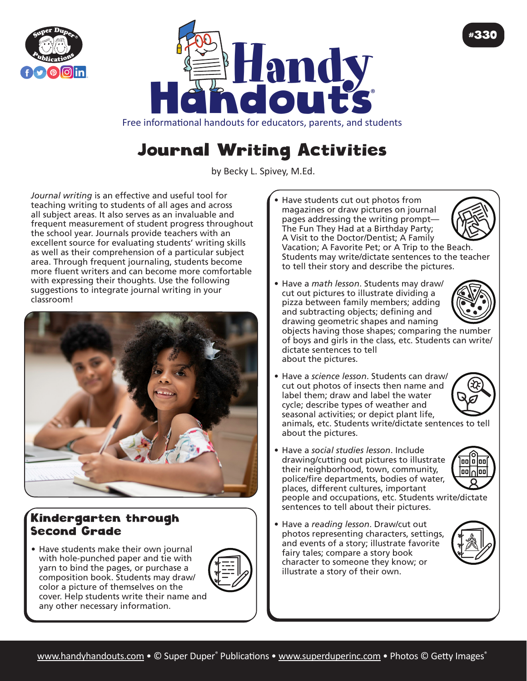



## Free informational handouts for educators, parents, and students

## Journal Writing Activities

by Becky L. Spivey, M.Ed.

*Journal writing* is an effective and useful tool for teaching writing to students of all ages and across all subject areas. It also serves as an invaluable and frequent measurement of student progress throughout the school year. Journals provide teachers with an excellent source for evaluating students' writing skills as well as their comprehension of a particular subject area. Through frequent journaling, students become more fluent writers and can become more comfortable with expressing their thoughts. Use the following suggestions to integrate journal writing in your classroom!



## Kindergarten through Second Grade

• Have students make their own journal with hole-punched paper and tie with yarn to bind the pages, or purchase a composition book. Students may draw/ color a picture of themselves on the cover. Help students write their name and any other necessary information.



- Have students cut out photos from magazines or draw pictures on journal pages addressing the writing prompt— The Fun They Had at a Birthday Party; A Visit to the Doctor/Dentist; A Family Vacation; A Favorite Pet; or A Trip to the Beach. Students may write/dictate sentences to the teacher to tell their story and describe the pictures.
- Have a *math lesson*. Students may draw/ cut out pictures to illustrate dividing a pizza between family members; adding and subtracting objects; defining and drawing geometric shapes and naming

#330

objects having those shapes; comparing the number of boys and girls in the class, etc. Students can write/ dictate sentences to tell about the pictures.

• Have a *science lesson*. Students can draw/ cut out photos of insects then name and label them; draw and label the water cycle; describe types of weather and seasonal activities; or depict plant life, animals, etc. Students write/dictate sentences to tell

about the pictures.

• Have a *social studies lesson*. Include drawing/cutting out pictures to illustrate their neighborhood, town, community, police/fire departments, bodies of water, places, different cultures, important people and occupations, etc. Students write/dictate sentences to tell about their pictures.



• Have a *reading lesson*. Draw/cut out photos representing characters, settings, and events of a story; illustrate favorite fairy tales; compare a story book character to someone they know; or illustrate a story of their own.